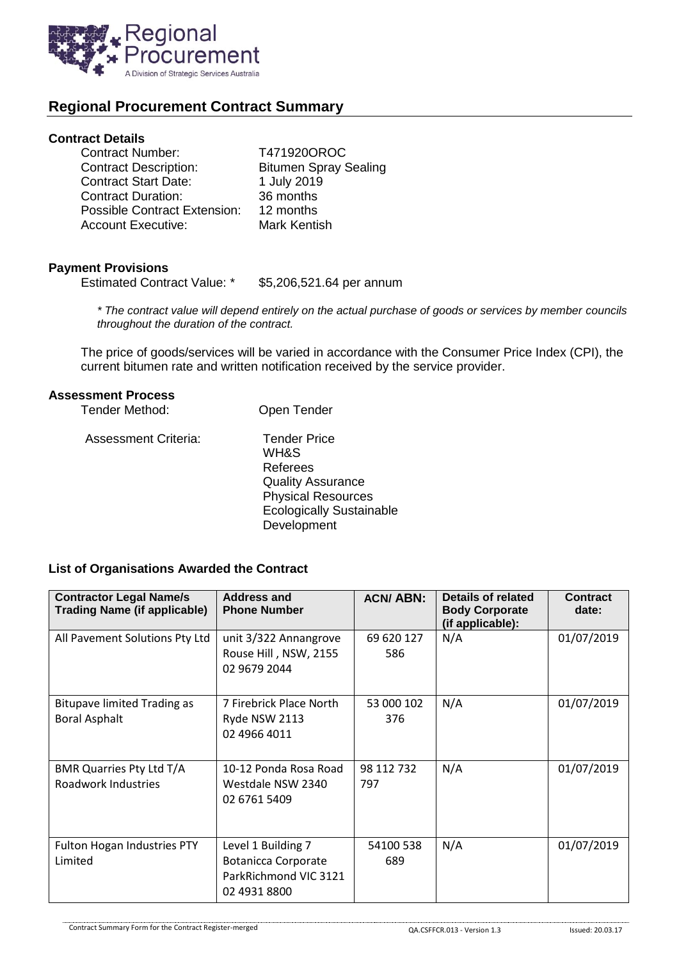

# **Regional Procurement Contract Summary**

### **Contract Details**

| <b>Contract Number:</b>             | T471920OROC                  |
|-------------------------------------|------------------------------|
| <b>Contract Description:</b>        | <b>Bitumen Spray Sealing</b> |
| <b>Contract Start Date:</b>         | 1 July 2019                  |
| <b>Contract Duration:</b>           | 36 months                    |
| <b>Possible Contract Extension:</b> | 12 months                    |
| <b>Account Executive:</b>           | Mark Kentish                 |

# **Payment Provisions**

Estimated Contract Value: \* \$5,206,521.64 per annum

*\* The contract value will depend entirely on the actual purchase of goods or services by member councils throughout the duration of the contract.*

The price of goods/services will be varied in accordance with the Consumer Price Index (CPI), the current bitumen rate and written notification received by the service provider.

### **Assessment Process**

| Tender Method:              | Open Tender                                                                                                                                        |
|-----------------------------|----------------------------------------------------------------------------------------------------------------------------------------------------|
| <b>Assessment Criteria:</b> | <b>Tender Price</b><br>WH&S<br>Referees<br><b>Quality Assurance</b><br><b>Physical Resources</b><br><b>Ecologically Sustainable</b><br>Development |

# **List of Organisations Awarded the Contract**

| <b>Contractor Legal Name/s</b><br><b>Trading Name (if applicable)</b> | <b>Address and</b><br><b>Phone Number</b>                                                 | <b>ACN/ABN:</b>   | Details of related<br><b>Body Corporate</b><br>(if applicable): | <b>Contract</b><br>date: |
|-----------------------------------------------------------------------|-------------------------------------------------------------------------------------------|-------------------|-----------------------------------------------------------------|--------------------------|
| All Pavement Solutions Pty Ltd                                        | unit 3/322 Annangrove<br>Rouse Hill, NSW, 2155<br>02 9679 2044                            | 69 620 127<br>586 | N/A                                                             | 01/07/2019               |
| <b>Bitupave limited Trading as</b><br><b>Boral Asphalt</b>            | 7 Firebrick Place North<br>Ryde NSW 2113<br>02 4966 4011                                  | 53 000 102<br>376 | N/A                                                             | 01/07/2019               |
| BMR Quarries Pty Ltd T/A<br>Roadwork Industries                       | 10-12 Ponda Rosa Road<br>Westdale NSW 2340<br>02 6761 5409                                | 98 112 732<br>797 | N/A                                                             | 01/07/2019               |
| Fulton Hogan Industries PTY<br>Limited                                | Level 1 Building 7<br><b>Botanicca Corporate</b><br>ParkRichmond VIC 3121<br>02 4931 8800 | 54100 538<br>689  | N/A                                                             | 01/07/2019               |